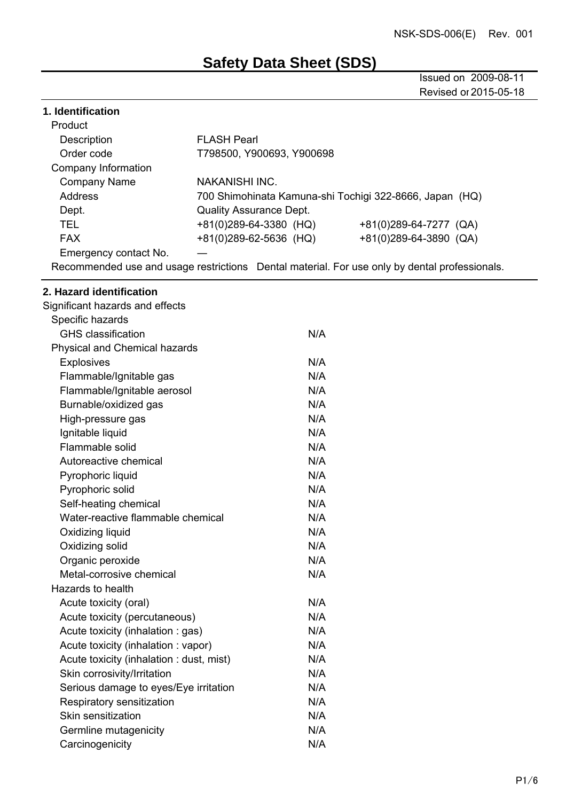# **Safety Data Sheet (SDS)**

#### Issued on 2009-08-11 Revised on 2015-05-18

|                                 |                                | Revised or 2015-0                                                                             |
|---------------------------------|--------------------------------|-----------------------------------------------------------------------------------------------|
| 1. Identification               |                                |                                                                                               |
| Product                         |                                |                                                                                               |
| Description                     | <b>FLASH Pearl</b>             |                                                                                               |
| Order code                      | T798500, Y900693, Y900698      |                                                                                               |
| Company Information             |                                |                                                                                               |
| <b>Company Name</b>             | <b>NAKANISHI INC.</b>          |                                                                                               |
| Address                         |                                | 700 Shimohinata Kamuna-shi Tochigi 322-8666, Japan (HQ)                                       |
| Dept.                           | <b>Quality Assurance Dept.</b> |                                                                                               |
| <b>TEL</b>                      | +81(0)289-64-3380 (HQ)         | +81(0)289-64-7277 (QA)                                                                        |
| <b>FAX</b>                      | +81(0)289-62-5636 (HQ)         | +81(0)289-64-3890 (QA)                                                                        |
| Emergency contact No.           |                                |                                                                                               |
|                                 |                                | Recommended use and usage restrictions Dental material. For use only by dental professionals. |
| 2. Hazard identification        |                                |                                                                                               |
| Significant hazards and effects |                                |                                                                                               |
| Specific hazards                |                                |                                                                                               |
| <b>GHS</b> classification       | N/A                            |                                                                                               |
| Physical and Chemical hazards   |                                |                                                                                               |
| <b>Explosives</b>               | N/A                            |                                                                                               |

N/A N/A N/A N/A

N/A

N/A N/A N/A N/A N/A

N/A N/A N/A

N/A N/A

N/A N/A

N/A N/A

N/A N/A N/A N/A N/A

N/A N/A

Flammable/Ignitable gas Flammable/Ignitable aerosol

Burnable/oxidized gas High-pressure gas Ignitable liquid Flammable solid

Autoreactive chemical

Metal-corrosive chemical

Skin corrosivity/Irritation

Respiratory sensitization

Germline mutagenicity

Skin sensitization

**Carcinogenicity** 

Acute toxicity (percutaneous) Acute toxicity (inhalation : gas) Acute toxicity (inhalation : vapor) Acute toxicity (inhalation : dust, mist)

Serious damage to eyes/Eye irritation

Water-reactive flammable chemical

Pyrophoric liquid Pyrophoric solid Self-heating chemical

Oxidizing liquid Oxidizing solid Organic peroxide

Hazards to health

Acute toxicity (oral)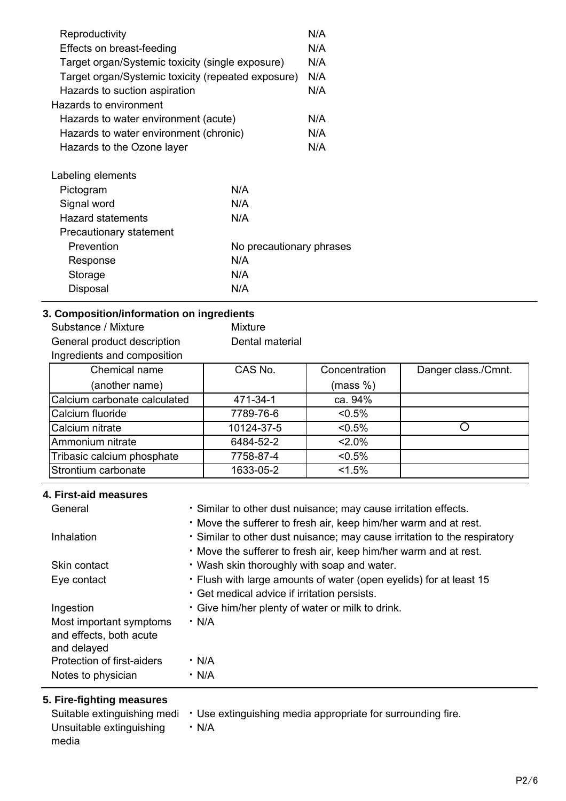| Reproductivity                                     |                          | N/A |
|----------------------------------------------------|--------------------------|-----|
| Effects on breast-feeding                          | N/A                      |     |
| Target organ/Systemic toxicity (single exposure)   |                          | N/A |
| Target organ/Systemic toxicity (repeated exposure) |                          | N/A |
| Hazards to suction aspiration                      | N/A                      |     |
| Hazards to environment                             |                          |     |
| Hazards to water environment (acute)               |                          | N/A |
| Hazards to water environment (chronic)             |                          | N/A |
| Hazards to the Ozone layer                         |                          | N/A |
| Labeling elements                                  |                          |     |
| Pictogram                                          | N/A                      |     |
| Signal word                                        | N/A                      |     |
| <b>Hazard statements</b><br>N/A                    |                          |     |
| Precautionary statement                            |                          |     |
| Prevention                                         | No precautionary phrases |     |
| Response                                           | N/A                      |     |
| Storage                                            | N/A                      |     |
| N/A<br>Disposal                                    |                          |     |
|                                                    |                          |     |

#### **3. Composition/information on ingredients**

| Substance / Mixture          | <b>Mixture</b>  |               |                     |
|------------------------------|-----------------|---------------|---------------------|
| General product description  | Dental material |               |                     |
| Ingredients and composition  |                 |               |                     |
| Chemical name                | CAS No.         | Concentration | Danger class./Cmnt. |
| (another name)               |                 | (mass %)      |                     |
| Calcium carbonate calculated | 471-34-1        | ca. 94%       |                     |
| Calcium fluoride             | 7789-76-6       | $< 0.5\%$     |                     |
| Calcium nitrate              | 10124-37-5      | $< 0.5\%$     | ()                  |
| Ammonium nitrate             | 6484-52-2       | $2.0\%$       |                     |
| Tribasic calcium phosphate   | 7758-87-4       | $< 0.5\%$     |                     |
| Strontium carbonate          | 1633-05-2       | $< 1.5\%$     |                     |

## **4. First-aid measures**

| General                                                           | . Similar to other dust nuisance; may cause irritation effects.<br>. Move the sufferer to fresh air, keep him/her warm and at rest.           |
|-------------------------------------------------------------------|-----------------------------------------------------------------------------------------------------------------------------------------------|
| Inhalation                                                        | · Similar to other dust nuisance; may cause irritation to the respiratory<br>. Move the sufferer to fresh air, keep him/her warm and at rest. |
| Skin contact                                                      | . Wash skin thoroughly with soap and water.                                                                                                   |
| Eye contact                                                       | . Flush with large amounts of water (open eyelids) for at least 15<br>• Get medical advice if irritation persists.                            |
| Ingestion                                                         | . Give him/her plenty of water or milk to drink.                                                                                              |
| Most important symptoms<br>and effects, both acute<br>and delayed | $\cdot$ N/A                                                                                                                                   |
| Protection of first-aiders                                        | $\cdot$ N/A                                                                                                                                   |
| Notes to physician                                                | $\cdot$ N/A                                                                                                                                   |

## **5. Fire-fighting measures**

|                          | Suitable extinguishing medi • Use extinguishing media appropriate for surrounding fire. |
|--------------------------|-----------------------------------------------------------------------------------------|
| Unsuitable extinguishing | • N/A                                                                                   |
| media                    |                                                                                         |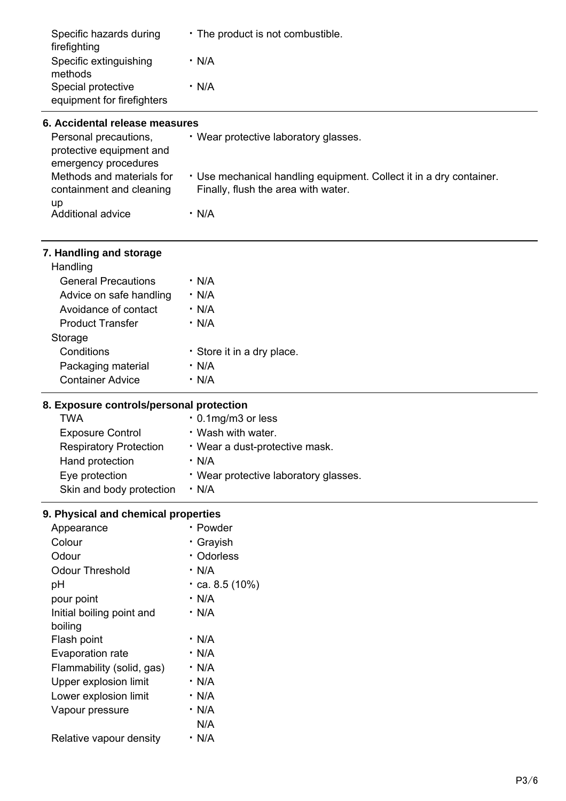| Specific hazards during<br>firefighting                                   | • The product is not combustible.                                                                          |
|---------------------------------------------------------------------------|------------------------------------------------------------------------------------------------------------|
| Specific extinguishing<br>methods                                         | $\cdot$ N/A                                                                                                |
| Special protective<br>equipment for firefighters                          | $\cdot$ N/A                                                                                                |
| 6. Accidental release measures                                            |                                                                                                            |
| Personal precautions,<br>protective equipment and<br>emergency procedures | . Wear protective laboratory glasses.                                                                      |
| Methods and materials for<br>containment and cleaning                     | · Use mechanical handling equipment. Collect it in a dry container.<br>Finally, flush the area with water. |
| up<br><b>Additional advice</b>                                            | $\cdot$ N/A                                                                                                |
| 7. Handling and storage                                                   |                                                                                                            |
| Handling                                                                  |                                                                                                            |
| <b>General Precautions</b>                                                | $\cdot$ N/A                                                                                                |
| Advice on safe handling                                                   | $\cdot$ N/A                                                                                                |
| Avoidance of contact                                                      | $\cdot$ N/A                                                                                                |
| <b>Product Transfer</b>                                                   | $\cdot$ N/A                                                                                                |
| Storage                                                                   |                                                                                                            |
| Conditions                                                                | Store it in a dry place.                                                                                   |
| Packaging material                                                        | $\cdot$ N/A                                                                                                |
| <b>Container Advice</b>                                                   | $\cdot$ N/A                                                                                                |
| 8. Exposure controls/personal protection                                  |                                                                                                            |
| <b>TWA</b>                                                                | . 0.1mg/m3 or less                                                                                         |
| <b>Exposure Control</b>                                                   | . Wash with water.                                                                                         |
| <b>Respiratory Protection</b>                                             | • Wear a dust-protective mask.                                                                             |
| Hand protection                                                           | $\cdot$ N/A                                                                                                |
| Eye protection                                                            | • Wear protective laboratory glasses.                                                                      |
| Skin and body protection                                                  | $\cdot$ N/A                                                                                                |
| 9. Physical and chemical properties                                       |                                                                                                            |
| Appearance                                                                | • Powder                                                                                                   |
| Colour                                                                    | · Grayish                                                                                                  |
| Odour                                                                     | • Odorless                                                                                                 |
| <b>Odour Threshold</b>                                                    | $\cdot$ N/A                                                                                                |
| pH                                                                        | $\cdot$ ca. 8.5 (10%)                                                                                      |
| pour point                                                                | $\cdot$ N/A                                                                                                |
| Initial boiling point and<br>boiling                                      | • N/A                                                                                                      |
| Flash point                                                               | $\cdot$ N/A                                                                                                |
| Evaporation rate                                                          | $\cdot$ N/A                                                                                                |
| Flammability (solid, gas)                                                 | $\cdot$ N/A                                                                                                |
| Upper explosion limit                                                     | $\cdot$ N/A                                                                                                |
| Lower explosion limit                                                     | $\cdot$ N/A                                                                                                |
| Vapour pressure                                                           | $\cdot$ N/A                                                                                                |
|                                                                           | N/A                                                                                                        |
| Relative vapour density                                                   | · N/A                                                                                                      |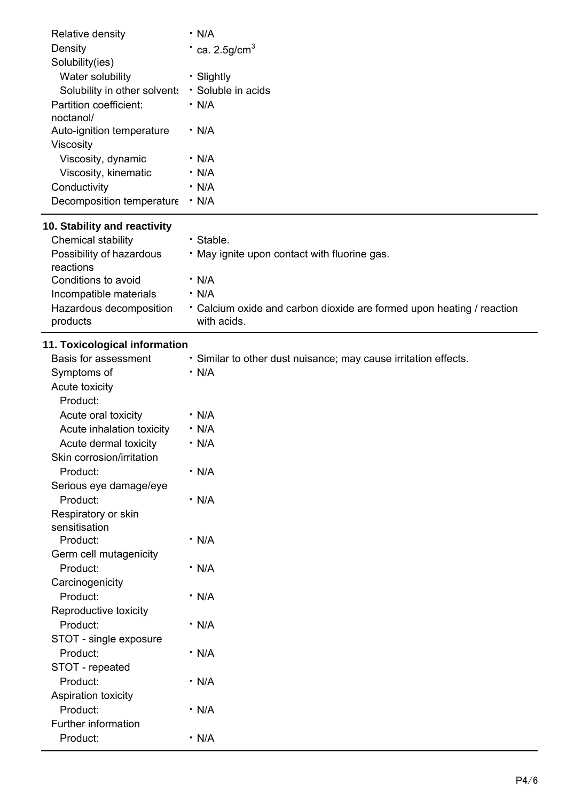| Relative density<br>Density<br>Solubility(ies)<br>Water solubility<br>Solubility in other solvents<br>Partition coefficient:<br>noctanol/<br>Auto-ignition temperature<br>Viscosity<br>Viscosity, dynamic<br>Viscosity, kinematic<br>Conductivity<br>Decomposition temperature | $\cdot$ N/A<br>$\cdot$ ca. 2.5g/cm <sup>3</sup><br>· Slightly<br>· Soluble in acids<br>$\cdot$ N/A<br>$\cdot$ N/A<br>$\cdot$ N/A<br>$\cdot$ N/A<br>$\cdot$ N/A<br>$\cdot$ N/A |
|--------------------------------------------------------------------------------------------------------------------------------------------------------------------------------------------------------------------------------------------------------------------------------|-------------------------------------------------------------------------------------------------------------------------------------------------------------------------------|
| 10. Stability and reactivity                                                                                                                                                                                                                                                   |                                                                                                                                                                               |
| Chemical stability                                                                                                                                                                                                                                                             | · Stable.                                                                                                                                                                     |
| Possibility of hazardous                                                                                                                                                                                                                                                       | . May ignite upon contact with fluorine gas.                                                                                                                                  |
| reactions                                                                                                                                                                                                                                                                      |                                                                                                                                                                               |
| Conditions to avoid                                                                                                                                                                                                                                                            | $\cdot$ N/A                                                                                                                                                                   |
| Incompatible materials                                                                                                                                                                                                                                                         | $\cdot$ N/A                                                                                                                                                                   |
| Hazardous decomposition                                                                                                                                                                                                                                                        | • Calcium oxide and carbon dioxide are formed upon heating / reaction                                                                                                         |
| products                                                                                                                                                                                                                                                                       | with acids.                                                                                                                                                                   |
| 11. Toxicological information                                                                                                                                                                                                                                                  |                                                                                                                                                                               |
| <b>Basis for assessment</b>                                                                                                                                                                                                                                                    | · Similar to other dust nuisance; may cause irritation effects.                                                                                                               |
| Symptoms of                                                                                                                                                                                                                                                                    | $\cdot$ N/A                                                                                                                                                                   |
| Acute toxicity                                                                                                                                                                                                                                                                 |                                                                                                                                                                               |
| Product:                                                                                                                                                                                                                                                                       |                                                                                                                                                                               |
| Acute oral toxicity                                                                                                                                                                                                                                                            | $\cdot$ N/A                                                                                                                                                                   |
| Acute inhalation toxicity                                                                                                                                                                                                                                                      | $\cdot$ N/A                                                                                                                                                                   |
| Acute dermal toxicity                                                                                                                                                                                                                                                          | $\cdot$ N/A                                                                                                                                                                   |
| Skin corrosion/irritation                                                                                                                                                                                                                                                      |                                                                                                                                                                               |
| Product:                                                                                                                                                                                                                                                                       | · N/A                                                                                                                                                                         |
| Serious eye damage/eye                                                                                                                                                                                                                                                         |                                                                                                                                                                               |
| Product:                                                                                                                                                                                                                                                                       | $\cdot$ N/A                                                                                                                                                                   |
| Respiratory or skin                                                                                                                                                                                                                                                            |                                                                                                                                                                               |
| sensitisation                                                                                                                                                                                                                                                                  |                                                                                                                                                                               |
| Product:                                                                                                                                                                                                                                                                       | · N/A                                                                                                                                                                         |
| Germ cell mutagenicity                                                                                                                                                                                                                                                         |                                                                                                                                                                               |
| Product:                                                                                                                                                                                                                                                                       | $\cdot$ N/A                                                                                                                                                                   |
| Carcinogenicity                                                                                                                                                                                                                                                                |                                                                                                                                                                               |
| Product:                                                                                                                                                                                                                                                                       | $\cdot$ N/A                                                                                                                                                                   |
| Reproductive toxicity                                                                                                                                                                                                                                                          |                                                                                                                                                                               |
| Product:                                                                                                                                                                                                                                                                       | $\cdot$ N/A                                                                                                                                                                   |
| STOT - single exposure                                                                                                                                                                                                                                                         |                                                                                                                                                                               |
| Product:                                                                                                                                                                                                                                                                       | $\cdot$ N/A                                                                                                                                                                   |
| STOT - repeated                                                                                                                                                                                                                                                                |                                                                                                                                                                               |
| Product:                                                                                                                                                                                                                                                                       | $\cdot$ N/A                                                                                                                                                                   |
| <b>Aspiration toxicity</b>                                                                                                                                                                                                                                                     |                                                                                                                                                                               |
| Product:                                                                                                                                                                                                                                                                       | $\cdot$ N/A                                                                                                                                                                   |
| Further information                                                                                                                                                                                                                                                            |                                                                                                                                                                               |
| Product:                                                                                                                                                                                                                                                                       | $\cdot$ N/A                                                                                                                                                                   |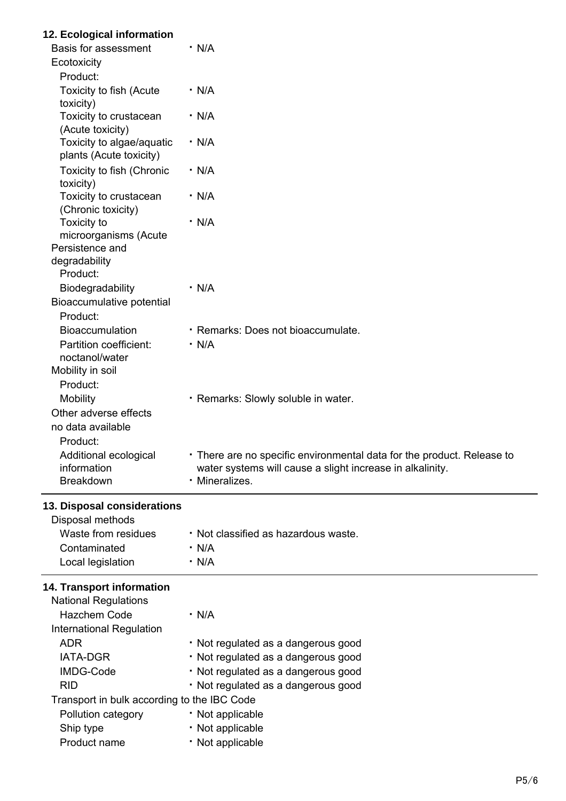## **12. Ecological information**

| Basis for assessment                        | $\cdot$ N/A                                                                 |
|---------------------------------------------|-----------------------------------------------------------------------------|
| Ecotoxicity                                 |                                                                             |
| Product:                                    |                                                                             |
| Toxicity to fish (Acute                     | $\cdot$ N/A                                                                 |
| toxicity)<br>Toxicity to crustacean         | $\cdot$ N/A                                                                 |
| (Acute toxicity)                            |                                                                             |
| Toxicity to algae/aquatic                   | $\cdot$ N/A                                                                 |
| plants (Acute toxicity)                     |                                                                             |
| Toxicity to fish (Chronic                   | $\cdot$ N/A                                                                 |
| toxicity)                                   |                                                                             |
| Toxicity to crustacean                      | $\cdot$ N/A                                                                 |
| (Chronic toxicity)                          |                                                                             |
| Toxicity to                                 | $\cdot$ N/A                                                                 |
| microorganisms (Acute                       |                                                                             |
| Persistence and                             |                                                                             |
| degradability                               |                                                                             |
| Product:                                    |                                                                             |
| Biodegradability                            | $\cdot$ N/A                                                                 |
| Bioaccumulative potential                   |                                                                             |
| Product:                                    |                                                                             |
| <b>Bioaccumulation</b>                      | · Remarks: Does not bioaccumulate.                                          |
| Partition coefficient:                      | $\cdot$ N/A                                                                 |
| noctanol/water                              |                                                                             |
| Mobility in soil                            |                                                                             |
| Product:                                    |                                                                             |
| <b>Mobility</b>                             | · Remarks: Slowly soluble in water.                                         |
| Other adverse effects                       |                                                                             |
| no data available                           |                                                                             |
| Product:                                    |                                                                             |
| Additional ecological                       | • There are no specific environmental data for the product. Release to      |
| information<br><b>Breakdown</b>             | water systems will cause a slight increase in alkalinity.<br>· Mineralizes. |
|                                             |                                                                             |
| 13. Disposal considerations                 |                                                                             |
| Disposal methods                            |                                                                             |
| Waste from residues                         | . Not classified as hazardous waste.                                        |
| Contaminated                                | $\cdot$ N/A                                                                 |
| Local legislation                           | $\cdot$ N/A                                                                 |
|                                             |                                                                             |
| 14. Transport information                   |                                                                             |
| <b>National Regulations</b>                 |                                                                             |
| <b>Hazchem Code</b>                         | $\cdot$ N/A                                                                 |
| International Regulation                    |                                                                             |
| <b>ADR</b>                                  | • Not regulated as a dangerous good                                         |
| <b>IATA-DGR</b>                             | · Not regulated as a dangerous good                                         |
| IMDG-Code                                   | · Not regulated as a dangerous good                                         |
| <b>RID</b>                                  | · Not regulated as a dangerous good                                         |
| Transport in bulk according to the IBC Code |                                                                             |
| Pollution category                          | • Not applicable                                                            |
| Ship type                                   | · Not applicable                                                            |
| Product name                                | · Not applicable                                                            |